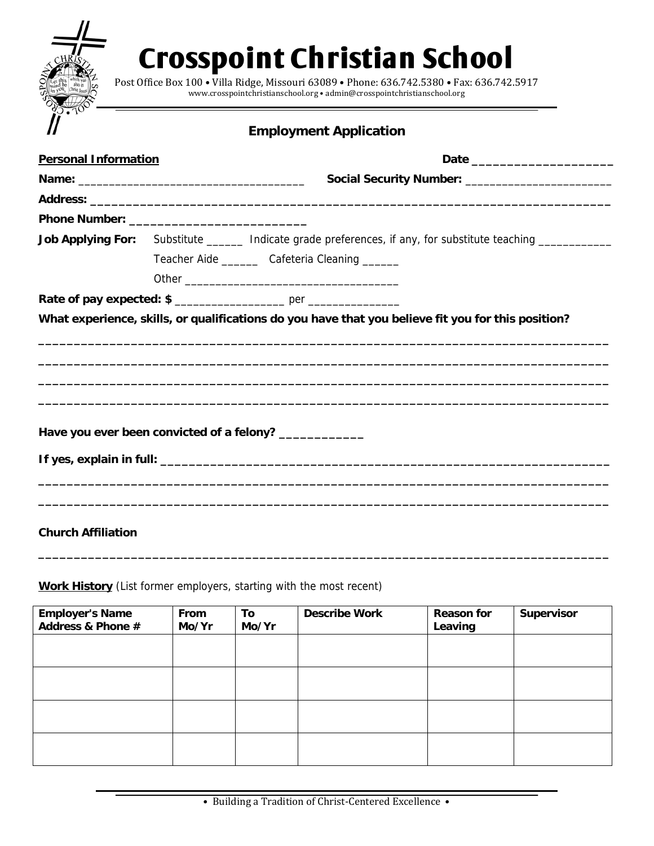## **Crosspoint Christian School**

Post Office Box 100 · Villa Ridge, Missouri 63089 · Phone: 636.742.5380 · Fax: 636.742.5917 www.crosspointchristianschool.org • admin@crosspointchristianschool.org

## **Employment Application**

| <b>Personal Information</b> |  |                                                                                                            |  |  |
|-----------------------------|--|------------------------------------------------------------------------------------------------------------|--|--|
|                             |  | Social Security Number: _______________________                                                            |  |  |
|                             |  |                                                                                                            |  |  |
|                             |  |                                                                                                            |  |  |
|                             |  | Job Applying For: Substitute ______ Indicate grade preferences, if any, for substitute teaching __________ |  |  |
|                             |  | Teacher Aide _________ Cafeteria Cleaning _______                                                          |  |  |
|                             |  |                                                                                                            |  |  |
|                             |  |                                                                                                            |  |  |
|                             |  | What experience, skills, or qualifications do you have that you believe fit you for this position?         |  |  |
|                             |  |                                                                                                            |  |  |
|                             |  | Have you ever been convicted of a felony? ____________                                                     |  |  |
|                             |  |                                                                                                            |  |  |
|                             |  |                                                                                                            |  |  |

**Church Affiliation** 

**Work History** (List former employers, starting with the most recent)

| <b>Employer's Name</b><br>Address & Phone # | From<br>Mo/Yr | To<br>Mo/Yr | <b>Describe Work</b> | <b>Reason for</b><br>Leaving | Supervisor |
|---------------------------------------------|---------------|-------------|----------------------|------------------------------|------------|
|                                             |               |             |                      |                              |            |
|                                             |               |             |                      |                              |            |
|                                             |               |             |                      |                              |            |
|                                             |               |             |                      |                              |            |

**\_\_\_\_\_\_\_\_\_\_\_\_\_\_\_\_\_\_\_\_\_\_\_\_\_\_\_\_\_\_\_\_\_\_\_\_\_\_\_\_\_\_\_\_\_\_\_\_\_\_\_\_\_\_\_\_\_\_\_\_\_\_\_\_\_\_\_\_\_\_\_\_\_\_\_\_\_\_\_\_**